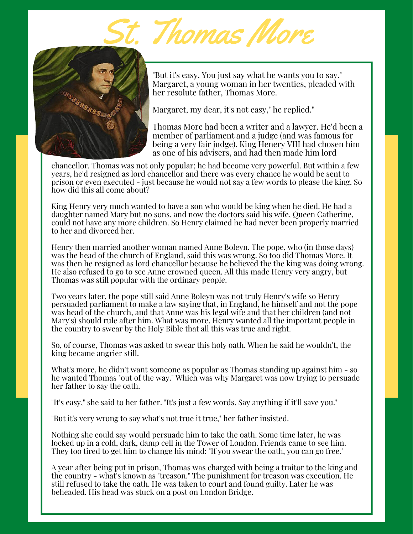t. Thomas More



"But it's easy. You just say what he wants you to say." Margaret, a young woman in her twenties, pleaded with her resolute father, Thomas More.

Margaret, my dear, it's not easy," he replied."

Thomas More had been a writer and a lawyer. He'd been a member of parliament and a judge (and was famous for being a very fair judge). King Henery VIII had chosen him as one of his advisers, and had then made him lord

chancellor. Thomas was not only popular; he had become very powerful. But within a few years, he'd resigned as lord chancellor and there was every chance he would be sent to prison or even executed - just because he would not say a few words to please the king. So how did this all come about?

King Henry very much wanted to have a son who would be king when he died. He had a daughter named Mary but no sons, and now the doctors said his wife, Queen Catherine, could not have any more children. So Henry claimed he had never been properly married to her and divorced her.

Henry then married another woman named Anne Boleyn. The pope, who (in those days) was the head of the church of England, said this was wrong. So too did Thomas More. It was then he resigned as lord chancellor because he believed the the king was doing wrong. He also refused to go to see Anne crowned queen. All this made Henry very angry, but Thomas was still popular with the ordinary people.

Two years later, the pope still said Anne Boleyn was not truly Henry's wife so Henry persuaded parliament to make a law saying that, in England, he himself and not the pope was head of the church, and that Anne was his legal wife and that her children (and not Mary's) should rule after him. What was more, Henry wanted all the important people in the country to swear by the Holy Bible that all this was true and right.

So, of course, Thomas was asked to swear this holy oath. When he said he wouldn't, the king became angrier still.

What's more, he didn't want someone as popular as Thomas standing up against him - so he wanted Thomas "out of the way." Which was why Margaret was now trying to persuade her father to say the oath.

"It's easy," she said to her father. "It's just a few words. Say anything if it'll save you."

"But it's very wrong to say what's not true it true," her father insisted.

Nothing she could say would persuade him to take the oath. Some time later, he was locked up in a cold, dark, damp cell in the Tower of London. Friends came to see him. They too tired to get him to change his mind: "If you swear the oath, you can go free."

A year after being put in prison, Thomas was charged with being a traitor to the king and the country - what's known as "treason." The punishment for treason was execution. He still refused to take the oath. He was taken to court and found guilty. Later he was beheaded. His head was stuck on a post on London Bridge.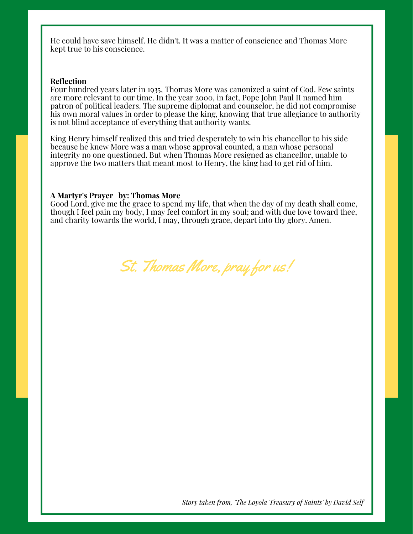He could have save himself. He didn't. It was a matter of conscience and Thomas More kept true to his conscience.

## **Reflection**

Four hundred years later in 1935, Thomas More was canonized a saint of God. Few saints are more relevant to our time. In the year 2000, in fact, Pope John Paul II named him patron of political leaders. The supreme diplomat and counselor, he did not compromise his own moral values in order to please the king, knowing that true allegiance to authority is not blind acceptance of everything that authority wants.

King Henry himself realized this and tried desperately to win his chancellor to his side because he knew More was a man whose approval counted, a man whose personal integrity no one questioned. But when Thomas More resigned as chancellor, unable to approve the two matters that meant most to Henry, the king had to get rid of him.

## **A Martyr's Prayer by: Thomas More**

Good Lord, give me the grace to spend my life, that when the day of my death shall come, though I feel pain my body, I may feel comfort in my soul; and with due love toward thee, and charity towards the world, I may, through grace, depart into thy glory. Amen.

St. Thomas More, pray for us!

*Story taken from, 'The Loyola Treasury of Saints' by David Self*